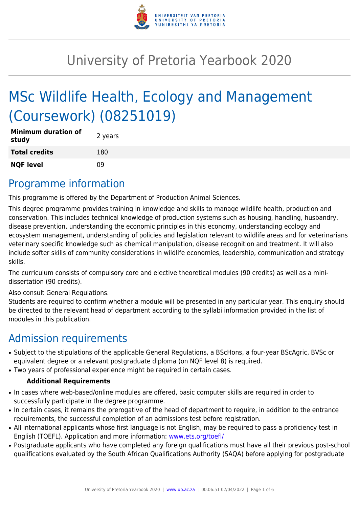

# University of Pretoria Yearbook 2020

# MSc Wildlife Health, Ecology and Management (Coursework) (08251019)

| <b>Minimum duration of</b><br>study | 2 years |
|-------------------------------------|---------|
| <b>Total credits</b>                | 180     |
| <b>NQF level</b>                    | 09      |

## Programme information

This programme is offered by the Department of Production Animal Sciences.

This degree programme provides training in knowledge and skills to manage wildlife health, production and conservation. This includes technical knowledge of production systems such as housing, handling, husbandry, disease prevention, understanding the economic principles in this economy, understanding ecology and ecosystem management, understanding of policies and legislation relevant to wildlife areas and for veterinarians veterinary specific knowledge such as chemical manipulation, disease recognition and treatment. It will also include softer skills of community considerations in wildlife economies, leadership, communication and strategy skills.

The curriculum consists of compulsory core and elective theoretical modules (90 credits) as well as a minidissertation (90 credits).

Also consult General Regulations.

Students are required to confirm whether a module will be presented in any particular year. This enquiry should be directed to the relevant head of department according to the syllabi information provided in the list of modules in this publication.

# Admission requirements

- Subject to the stipulations of the applicable General Regulations, a BScHons, a four-year BScAgric, BVSc or equivalent degree or a relevant postgraduate diploma (on NQF level 8) is required.
- Two years of professional experience might be required in certain cases.

#### **Additional Requirements**

- In cases where web-based/online modules are offered, basic computer skills are required in order to successfully participate in the degree programme.
- In certain cases, it remains the prerogative of the head of department to require, in addition to the entrance requirements, the successful completion of an admissions test before registration.
- All international applicants whose first language is not English, may be required to pass a proficiency test in English (TOEFL). Application and more information: [www.ets.org/toefl/](http://www.ets.org/toefl/)
- Postgraduate applicants who have completed any foreign qualifications must have all their previous post-school qualifications evaluated by the South African Qualifications Authority (SAQA) before applying for postgraduate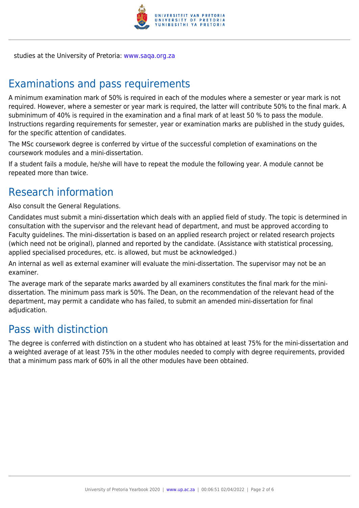

studies at the University of Pretoria: [www.saqa.org.za](http://www.saqa.org.za)

# Examinations and pass requirements

A minimum examination mark of 50% is required in each of the modules where a semester or year mark is not required. However, where a semester or year mark is required, the latter will contribute 50% to the final mark. A subminimum of 40% is required in the examination and a final mark of at least 50 % to pass the module. Instructions regarding requirements for semester, year or examination marks are published in the study guides, for the specific attention of candidates.

The MSc coursework degree is conferred by virtue of the successful completion of examinations on the coursework modules and a mini-dissertation.

If a student fails a module, he/she will have to repeat the module the following year. A module cannot be repeated more than twice.

# Research information

Also consult the General Regulations.

Candidates must submit a mini-dissertation which deals with an applied field of study. The topic is determined in consultation with the supervisor and the relevant head of department, and must be approved according to Faculty guidelines. The mini-dissertation is based on an applied research project or related research projects (which need not be original), planned and reported by the candidate. (Assistance with statistical processing, applied specialised procedures, etc. is allowed, but must be acknowledged.)

An internal as well as external examiner will evaluate the mini-dissertation. The supervisor may not be an examiner.

The average mark of the separate marks awarded by all examiners constitutes the final mark for the minidissertation. The minimum pass mark is 50%. The Dean, on the recommendation of the relevant head of the department, may permit a candidate who has failed, to submit an amended mini-dissertation for final adjudication.

### Pass with distinction

The degree is conferred with distinction on a student who has obtained at least 75% for the mini-dissertation and a weighted average of at least 75% in the other modules needed to comply with degree requirements, provided that a minimum pass mark of 60% in all the other modules have been obtained.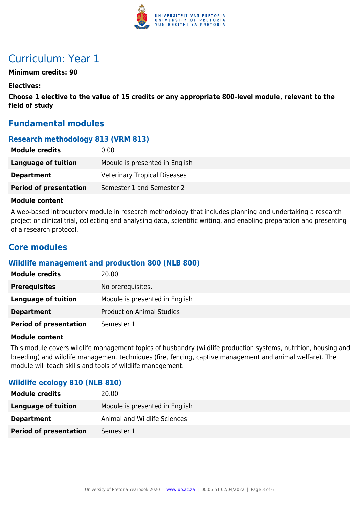

# Curriculum: Year 1

#### **Minimum credits: 90**

#### **Electives:**

**Choose 1 elective to the value of 15 credits or any appropriate 800-level module, relevant to the field of study**

#### **Fundamental modules**

#### **Research methodology 813 (VRM 813)**

| <b>Module credits</b>         | 0.00                                |
|-------------------------------|-------------------------------------|
| <b>Language of tuition</b>    | Module is presented in English      |
| <b>Department</b>             | <b>Veterinary Tropical Diseases</b> |
| <b>Period of presentation</b> | Semester 1 and Semester 2           |

#### **Module content**

A web-based introductory module in research methodology that includes planning and undertaking a research project or clinical trial, collecting and analysing data, scientific writing, and enabling preparation and presenting of a research protocol.

#### **Core modules**

#### **Wildlife management and production 800 (NLB 800)**

| <b>Module credits</b>         | 20.00                            |
|-------------------------------|----------------------------------|
| <b>Prerequisites</b>          | No prerequisites.                |
| Language of tuition           | Module is presented in English   |
| <b>Department</b>             | <b>Production Animal Studies</b> |
| <b>Period of presentation</b> | Semester 1                       |

#### **Module content**

This module covers wildlife management topics of husbandry (wildlife production systems, nutrition, housing and breeding) and wildlife management techniques (fire, fencing, captive management and animal welfare). The module will teach skills and tools of wildlife management.

#### **Wildlife ecology 810 (NLB 810)**

| <b>Module credits</b>         | 20.00                          |
|-------------------------------|--------------------------------|
| Language of tuition           | Module is presented in English |
| <b>Department</b>             | Animal and Wildlife Sciences   |
| <b>Period of presentation</b> | Semester 1                     |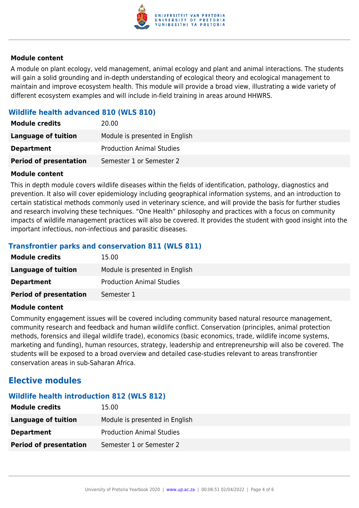

#### **Module content**

A module on plant ecology, veld management, animal ecology and plant and animal interactions. The students will gain a solid grounding and in-depth understanding of ecological theory and ecological management to maintain and improve ecosystem health. This module will provide a broad view, illustrating a wide variety of different ecosystem examples and will include in-field training in areas around HHWRS.

#### **Wildlife health advanced 810 (WLS 810)**

| <b>Module credits</b>         | 20.00                            |
|-------------------------------|----------------------------------|
| Language of tuition           | Module is presented in English   |
| <b>Department</b>             | <b>Production Animal Studies</b> |
| <b>Period of presentation</b> | Semester 1 or Semester 2         |

#### **Module content**

This in depth module covers wildlife diseases within the fields of identification, pathology, diagnostics and prevention. It also will cover epidemiology including geographical information systems, and an introduction to certain statistical methods commonly used in veterinary science, and will provide the basis for further studies and research involving these techniques. "One Health" philosophy and practices with a focus on community impacts of wildlife management practices will also be covered. It provides the student with good insight into the important infectious, non-infectious and parasitic diseases.

#### **Transfrontier parks and conservation 811 (WLS 811)**

| <b>Module credits</b>         | 15.00                            |
|-------------------------------|----------------------------------|
| Language of tuition           | Module is presented in English   |
| <b>Department</b>             | <b>Production Animal Studies</b> |
| <b>Period of presentation</b> | Semester 1                       |

#### **Module content**

Community engagement issues will be covered including community based natural resource management, community research and feedback and human wildlife conflict. Conservation (principles, animal protection methods, forensics and illegal wildlife trade), economics (basic economics, trade, wildlife income systems, marketing and funding), human resources, strategy, leadership and entrepreneurship will also be covered. The students will be exposed to a broad overview and detailed case-studies relevant to areas transfrontier conservation areas in sub-Saharan Africa.

#### **Elective modules**

#### **Wildlife health introduction 812 (WLS 812)**

| <b>Module credits</b>         | 15.00                            |
|-------------------------------|----------------------------------|
| Language of tuition           | Module is presented in English   |
| <b>Department</b>             | <b>Production Animal Studies</b> |
| <b>Period of presentation</b> | Semester 1 or Semester 2         |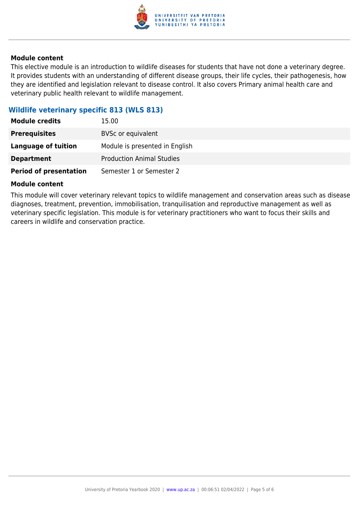

#### **Module content**

This elective module is an introduction to wildlife diseases for students that have not done a veterinary degree. It provides students with an understanding of different disease groups, their life cycles, their pathogenesis, how they are identified and legislation relevant to disease control. It also covers Primary animal health care and veterinary public health relevant to wildlife management.

#### **Wildlife veterinary specific 813 (WLS 813)**

| <b>Module credits</b>         | 15.00                            |
|-------------------------------|----------------------------------|
| <b>Prerequisites</b>          | <b>BVSc or equivalent</b>        |
| <b>Language of tuition</b>    | Module is presented in English   |
| <b>Department</b>             | <b>Production Animal Studies</b> |
| <b>Period of presentation</b> | Semester 1 or Semester 2         |

#### **Module content**

This module will cover veterinary relevant topics to wildlife management and conservation areas such as disease diagnoses, treatment, prevention, immobilisation, tranquilisation and reproductive management as well as veterinary specific legislation. This module is for veterinary practitioners who want to focus their skills and careers in wildlife and conservation practice.